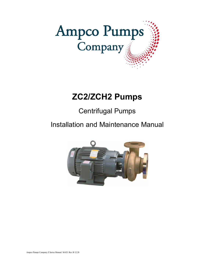

# **ZC2/ZCH2 Pumps**

Centrifugal Pumps

Installation and Maintenance Manual

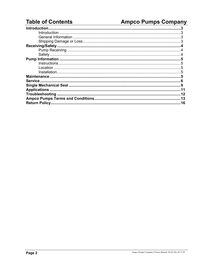# **Table of Contents**

# **Ampco Pumps Company**

| <b>Return Policy.</b> | 16 |
|-----------------------|----|
|                       |    |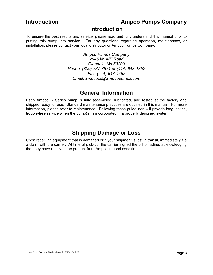## **Introduction**

To ensure the best results and service, please read and fully understand this manual prior to putting this pump into service. For any questions regarding operation, maintenance, or installation, please contact your local distributor or Ampco Pumps Company:

> *Ampco Pumps Company 2045 W. Mill Road Glendale, WI 53209 Phone: (800) 737-8671 or (414) 643-1852 Fax: (414) 643-4452 Email: ampcocs@ampcopumps.com*

# **General Information**

Each Ampco K Series pump is fully assembled, lubricated, and tested at the factory and shipped ready for use. Standard maintenance practices are outlined in this manual. For more information, please refer to Maintenance. Following these guidelines will provide long-lasting, trouble-free service when the pump(s) is incorporated in a properly designed system.

# **Shipping Damage or Loss**

Upon receiving equipment that is damaged or if your shipment is lost in transit, immediately file a claim with the carrier. At time of pick-up, the carrier signed the bill of lading, acknowledging that they have received the product from Ampco in good condition.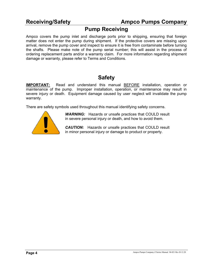## **Pump Receiving**

Ampco covers the pump inlet and discharge ports prior to shipping, ensuring that foreign matter does not enter the pump during shipment. If the protective covers are missing upon arrival, remove the pump cover and inspect to ensure it is free from contaminate before turning the shafts. Please make note of the pump serial number; this will assist in the process of ordering replacement parts and/or a warranty claim. For more information regarding shipment damage or warranty, please refer to Terms and Conditions.

# **Safety**

**IMPORTANT:** Read and understand this manual BEFORE installation, operation or maintenance of the pump. Improper installation, operation, or maintenance may result in severe injury or death. Equipment damage caused by user neglect will invalidate the pump warranty.

There are safety symbols used throughout this manual identifying safety concerns.



*WARNING:* Hazards or unsafe practices that COULD result in severe personal injury or death, and how to avoid them.

**CAUTION:** Hazards or unsafe practices that COULD result in minor personal injury or damage to product or property.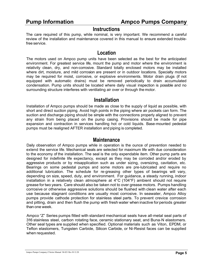### **Instructions**

The care required of this pump, while nominal, is very important. We recommend a careful review of the installation and maintenance covered in this manual to ensure extended troublefree service.

## **Location**

The motors used on Ampco pump units have been selected as the best for the anticipated environment. For greatest service life, mount the pump and motor where the environment is relativity clean, dry, and non-corrosive. Standard totally enclosed motors may be installed where dirt, moisture, and mild corrosion are present or in outdoor locations. Specialty motors may be required for moist, corrosive, or explosive environments. Motor drain plugs (if not equipped with automatic drains) must be removed periodically to drain accumulated condensation. Pump units should be located where daily visual inspection is possible and no surrounding structure interferes with ventilating air over or through the motor.

## **Installation**

Installation of Ampco pumps should be made as close to the supply of liquid as possible, with short and direct suction piping. Avoid high points in the piping where air pockets can form. The suction and discharge piping should be simple with the connections properly aligned to prevent any strain from being placed on the pump casing. Provisions should be made for pipe expansion and contraction in services handling hot or cold liquids. Base-mounted pedestal pumps must be realigned AFTER installation and piping is completed.

#### **Maintenance**

Daily observation of Ampco pumps while in operation is the ounce of prevention needed to extend the service life. Mechanical seals are selected for maximum life with due consideration to the economy of the installation. The seal is the only expendable item. Other pump parts are designed for indefinite life expectancy, except as they may be corroded and/or eroded by aggressive products or by misapplication such as under sizing, oversizing, cavitation, etc. Bearings on some pedestal pumps and some motors are pre-lubricated and require no additional lubrication. The schedule for re-greasing other types of bearings will vary, depending on size, speed, duty, and environment. For guidance, a steady running, indoor installation in a relatively clean atmosphere at 4°C (104°F) ambient should not require grease for two years. Care should also be taken not to over grease motors. Pumps handling corrosive or otherwise aggressive solutions should be flushed with clean water after each use because stagnant conditions are usually most corrosive. In seawater, Ampco Alloy pumps provide cathode protection for stainless steel parts. To prevent crevice corrosion and pitting, drain and then flush the pump with fresh water when inactive for periods greater than one week.

Ampco "Z" Series pumps fitted with standard mechanical seals have all-metal seal parts of 316 stainless steel, carbon rotating face, ceramic stationary seat, and Buna-N elastomers. Other seal types are supplied when specified. Optional materials such as Viton, EPDM, or Teflon elastomers, Tungsten Carbide, Silicon Carbide, or Ni-Resist faces can be supplied when requested.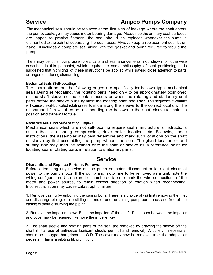# **Service Ampco Pumps Company**

The mechanical seal should be replaced at the first sign of leakage where the shaft enters the pump. Leakage may cause motor bearing damage. Also, since the primary seal surfaces are lapped to precise flatness, the seal should be replaced whenever the pump is dismantled to the point of separating the seal faces. Always keep a replacement seal kit on hand. It includes a complete seal along with the gasket and o-ring required to rebuild the pump.

There may be other pump assemblies; parts and seal arrangements not shown or otherwise described in this pamphlet, which require the same philosophy of seal positioning. It is suggested that highlights of these instructions be applied while paying close attention to parts arrangement during dismantling.

#### **Mechanical Seals (Self-Locating)**

The instructions on the following pages are specifically for bellows type mechanical seals. Being self-locating, the rotating parts need only to be approximately positioned on the shaft sleeve so that contact occurs between the rotating and stationary seal parts before the sleeve butts against the locating shaft shoulder. This sequence of contact will cause the oil-lubricated rotating seal to slide along the sleeve to the correct location. The oil-softened film will then set up, bonding the bellows to the shaft sleeve to maintain position and transmit torque.

#### **Mechanical Seals (not Self-Locating) Type-9**

Mechanical seals which are not self-locating require seal manufacturer's instructions as to the initial spring compression, drive collar location, etc. Following those instructions, the assembler may best determine and mark such locations on the shaft or sleeve by first assembling the pump without the seal. The gland location or end stuffing box may then be scribed onto the shaft or sleeve as a reference point for locating seal's rotating parts in relation to stationary parts.

## **Service**

#### **Dismantle and Replace Parts as Follows:**

Before attempting any service on the pump or motor, disconnect or lock out electrical power to the pump motor. If the pump and motor are to be removed as a unit, note the wiring configuration. Use colored or numbered tape to mark the wire connections of the motor and power source, to retain correct direction of rotation when reconnecting. Incorrect rotation may cause catastrophic failure.

1. Remove casing by unbolting the casing bolts. There is a choice of (a) first removing the inlet and discharge piping, or (b) sliding the motor and remaining pump parts back and free of the casing without disturbing the piping.

2. Remove the impeller screw. Ease the impeller off the shaft. Pinch bars between the impeller and cover may be required. Remove the impeller key.

3. The shaft sleeve and rotating parts of the seal are removed by drawing the sleeve off the shaft (Initial use of anti-seize lubricant should permit hand removal). A puller, if necessary, should be the type that gripes the O.D. The cover may now be removed from the adapter or pedestal. This is a piloting fit, pry if tight.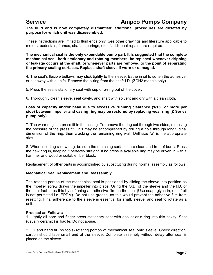**The fluid end is now completely dismantled; additional procedures are dictated by purpose for which unit was disassembled.**

These instructions are limited to fluid ends only. See other drawings and literature applicable to motors, pedestals, frames, shafts, bearings, etc. if additional repairs are required.

**The mechanical seal is the only expendable pump part. It is suggested that the complete mechanical seal, both stationary and rotating members, be replaced whenever dripping or leakage occurs at the shaft, or whenever parts are removed to the point of separating the primary sealing surfaces. Replace shaft sleeve if worn or damaged.**

4. The seal's flexible bellows may stick tightly to the sleeve. Bathe in oil to soften the adhesive, or cut away with a knife. Remove the o-ring from the shaft I.D. (ZCH2 models only).

5. Press the seal's stationary seat with cup or o-ring out of the cover.

6. Thoroughly clean sleeve, seat cavity, and shaft with solvent and dry with a clean cloth.

#### **Loss of capacity and/or head due to excessive running clearance (1/16" or more per side) between impeller and casing ring may be restored by replacing wear ring (Z Series pump only).**

7. The wear ring is a press fit in the casing, To remove the ring cut through two sides, releasing the pressure of the press fit. This may be accomplished by drilling a hole through longitudinal dimension of the ring, then cracking the remaining ring wall. Drill size "a" is the appropriate size.

8. When inserting a new ring, be sure the matching surfaces are clean and free of burrs. Press the new ring in, keeping it perfectly straight. If no press is available ring may be driven in with a hammer and wood or suitable fiber block.

Replacement of other parts is accomplished by substituting during normal assembly as follows:

#### **Mechanical Seal Replacement and Reassembly**

The rotating portion of the mechanical seal is positioned by sliding the sleeve into position as the impeller screw draws the impeller into place. Oiling the O.D. of the sleeve and the I.D. of the seal facilitates this by softening an adhesive film on the seal (Use soap, glycerin, etc. if oil is not permitted i.e. EPDM). Do not use grease, as this would prevent the adhesive film from resetting. Final adherence to the sleeve is essential for shaft, sleeve, and seal to rotate as a unit.

#### **Proceed as Follows:**

1. Lightly oil bore and finger press stationary seat with gasket or o-ring into this cavity. Seat (usually ceramic) is fragile. Do not abuse.

2. Oil and hand fit (no tools) rotating portion of mechanical seal onto sleeve. Check direction, carbon should face small end of the sleeve. Complete assembly without delay after seal is placed on the sleeve.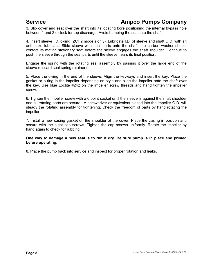# **Service <b>Ampco** Pumps Company

3. Slip cover and seat over the shaft into its locating bore positioning the internal bypass hole between 1 and 2 o'clock for top discharge. Avoid bumping the seat into the shaft.

4. Insert sleeve I.D. o-ring (ZCH2 models only). Lubricate I.D. of sleeve and shaft O.D. with an anti-seize lubricant. Slide sleeve with seal parts onto the shaft, the carbon washer should contact its mating stationary seat before the sleeve engages the shaft shoulder. Continue to push the sleeve through the seal parts until the sleeve nears its final position.

Engage the spring with the rotating seal assembly by passing it over the large end of the sleeve (discard seal spring retainer).

5. Place the o-ring in the end of the sleeve. Align the keyways and insert the key. Place the gasket or o-ring in the impeller depending on style and slide the impeller onto the shaft over the key. Use blue Loctite #242 on the impeller screw threads and hand tighten the impeller screw.

6. Tighten the impeller screw with a 6 point socket until the sleeve is against the shaft shoulder and all rotating parts are secure. A screwdriver or equivalent placed into the impeller O.D. will steady the rotating assembly for tightening. Check the freedom of parts by hand rotating the impeller.

7. Install a new casing gasket on the shoulder of the cover. Place the casing in position and secure with the eight cap screws. Tighten the cap screws uniformly. Rotate the impeller by hand again to check for rubbing.

#### **One way to damage a new seal is to run it dry. Be sure pump is in place and primed before operating.**

8. Place the pump back into service and inspect for proper rotation and leaks.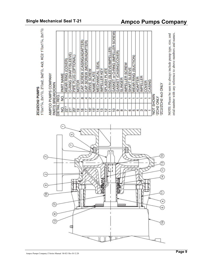

11/2x11/4, 2x11/2, 21/2x2, 3x21/2, 4x3; KC2 11/2x11/4, 2x11/2 ZC2/ZCH2 PUMPS

| GASKET or O-RING (IMPELLER SCREW)<br>CAP SCREW (CASING/ADAPTER)<br>O-RING (SLEEVE/IMPELLER<br>(CASING/COVER<br>O-RING (SHAFT/SLEEVE)<br>PIPE PLUG (OPTIONAL<br>WEAR RING (COVER)<br>MECHANICAL SEAI<br>IMPELLER SCREW<br><b>SLEEVE</b><br><b>SPLASH PLATE</b><br>IMPELLER KEY<br>DRIVE SCREW<br><b>CAP SCREW</b><br>NAME PLATE<br>PART NAME<br>GASKET<br>SLINGER<br><b>MOTOR</b><br><b>SHAFT</b><br>REQ.<br>g<br>$\frac{1}{2}$<br>$^{\circ}$<br>4<br>$\sim$<br>$\overline{\phantom{a}}$<br>$\mathbf$<br>┯<br>$\mathbf$<br>$\mathbf{r}$<br>᠇<br>JETAIL<br>$22^{1.3}$<br>g<br>$\overline{5}$<br>$21^2$<br>16 <sup>1</sup><br>$\frac{5}{15}$<br>$\frac{9}{2}$<br>$\frac{8}{2}$<br>13<br>읜<br>17<br>$\frac{4}{3}$<br>$\overline{10}$<br>H<br>G<br>$\infty$<br>$\overline{ }$<br>G | (MOTOR/ADAPTER |
|-------------------------------------------------------------------------------------------------------------------------------------------------------------------------------------------------------------------------------------------------------------------------------------------------------------------------------------------------------------------------------------------------------------------------------------------------------------------------------------------------------------------------------------------------------------------------------------------------------------------------------------------------------------------------------------------------------------------------------------------------------------------------------|----------------|
|                                                                                                                                                                                                                                                                                                                                                                                                                                                                                                                                                                                                                                                                                                                                                                               |                |
|                                                                                                                                                                                                                                                                                                                                                                                                                                                                                                                                                                                                                                                                                                                                                                               |                |
|                                                                                                                                                                                                                                                                                                                                                                                                                                                                                                                                                                                                                                                                                                                                                                               |                |
|                                                                                                                                                                                                                                                                                                                                                                                                                                                                                                                                                                                                                                                                                                                                                                               |                |
|                                                                                                                                                                                                                                                                                                                                                                                                                                                                                                                                                                                                                                                                                                                                                                               |                |
|                                                                                                                                                                                                                                                                                                                                                                                                                                                                                                                                                                                                                                                                                                                                                                               |                |
|                                                                                                                                                                                                                                                                                                                                                                                                                                                                                                                                                                                                                                                                                                                                                                               |                |
|                                                                                                                                                                                                                                                                                                                                                                                                                                                                                                                                                                                                                                                                                                                                                                               |                |
|                                                                                                                                                                                                                                                                                                                                                                                                                                                                                                                                                                                                                                                                                                                                                                               |                |
|                                                                                                                                                                                                                                                                                                                                                                                                                                                                                                                                                                                                                                                                                                                                                                               |                |
|                                                                                                                                                                                                                                                                                                                                                                                                                                                                                                                                                                                                                                                                                                                                                                               |                |
|                                                                                                                                                                                                                                                                                                                                                                                                                                                                                                                                                                                                                                                                                                                                                                               |                |
|                                                                                                                                                                                                                                                                                                                                                                                                                                                                                                                                                                                                                                                                                                                                                                               |                |
|                                                                                                                                                                                                                                                                                                                                                                                                                                                                                                                                                                                                                                                                                                                                                                               |                |
|                                                                                                                                                                                                                                                                                                                                                                                                                                                                                                                                                                                                                                                                                                                                                                               |                |
|                                                                                                                                                                                                                                                                                                                                                                                                                                                                                                                                                                                                                                                                                                                                                                               |                |
|                                                                                                                                                                                                                                                                                                                                                                                                                                                                                                                                                                                                                                                                                                                                                                               |                |
|                                                                                                                                                                                                                                                                                                                                                                                                                                                                                                                                                                                                                                                                                                                                                                               |                |
| WEAR RING (SUCTION)<br>5                                                                                                                                                                                                                                                                                                                                                                                                                                                                                                                                                                                                                                                                                                                                                      |                |
| ADAPTER<br>A                                                                                                                                                                                                                                                                                                                                                                                                                                                                                                                                                                                                                                                                                                                                                                  |                |
| IMPELLER<br>S                                                                                                                                                                                                                                                                                                                                                                                                                                                                                                                                                                                                                                                                                                                                                                 |                |
| COVER<br>$\overline{\phantom{a}}$<br>$\sim$                                                                                                                                                                                                                                                                                                                                                                                                                                                                                                                                                                                                                                                                                                                                   |                |
| CASING<br>NOT SHOWN                                                                                                                                                                                                                                                                                                                                                                                                                                                                                                                                                                                                                                                                                                                                                           |                |

NOTE: Please be sure to always include pump type, size, and erial number with any reference to above numbers and names.

# **Single Mechanical Seal T-21 Ampco Pumps Company**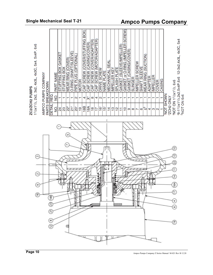

# ZC2/ZCH2 PUMPS<br>1<sup>1</sup>/2x1<sup>1</sup>/2, 2x2, 3x2, 4x3L, 4x3C, 5x4, 5x4P, 6x6

# **Single Mechanical Seal T-21 Ampco Pumps Company**